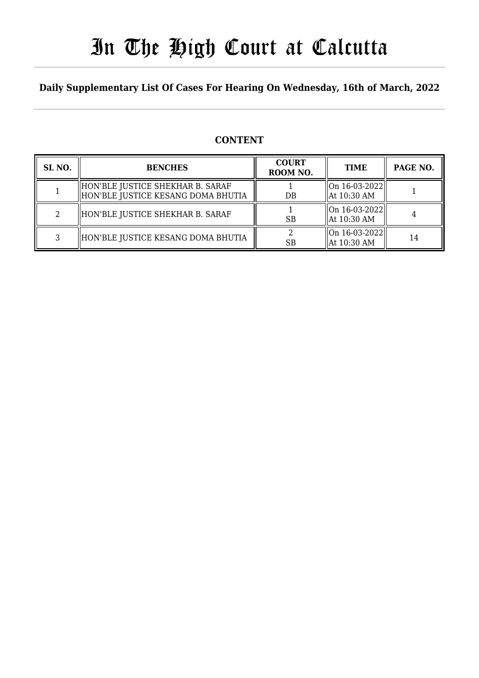# In The High Court at Calcutta

### **Daily Supplementary List Of Cases For Hearing On Wednesday, 16th of March, 2022**

### **CONTENT**

| SL <sub>NO</sub> . | <b>BENCHES</b>                                                           | <b>COURT</b><br>ROOM NO. | <b>TIME</b>                                    | PAGE NO. |
|--------------------|--------------------------------------------------------------------------|--------------------------|------------------------------------------------|----------|
|                    | HON'BLE JUSTICE SHEKHAR B. SARAF<br>  HON'BLE JUSTICE KESANG DOMA BHUTIA | DB                       | $\vert$ On 16-03-2022 $\vert$<br>  At 10:30 AM |          |
|                    | HON'BLE JUSTICE SHEKHAR B. SARAF                                         | <b>SB</b>                | On 16-03-2022  <br>  At 10:30 AM               |          |
|                    | HON'BLE JUSTICE KESANG DOMA BHUTIA                                       | <b>SB</b>                | On 16-03-2022  <br>  At 10:30 AM               | 14       |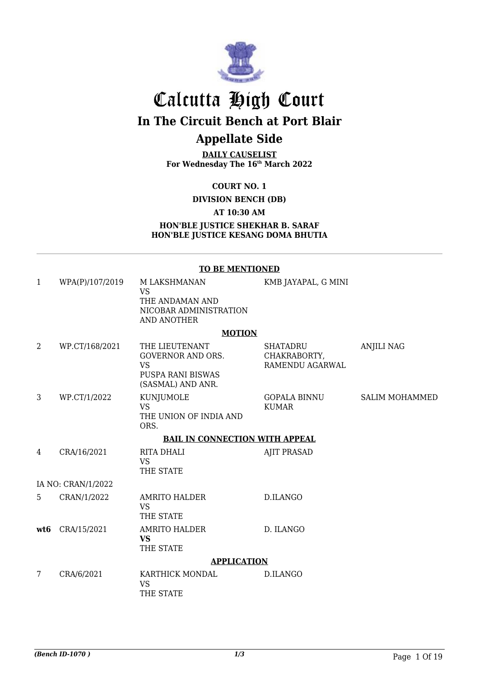

# Calcutta High Court

**In The Circuit Bench at Port Blair**

## **Appellate Side**

**DAILY CAUSELIST For Wednesday The 16th March 2022**

**COURT NO. 1**

**DIVISION BENCH (DB)**

#### **AT 10:30 AM**

**HON'BLE JUSTICE SHEKHAR B. SARAF HON'BLE JUSTICE KESANG DOMA BHUTIA**

#### **TO BE MENTIONED**

| $\mathbf{1}$   | WPA(P)/107/2019    | M LAKSHMANAN<br><b>VS</b><br>THE ANDAMAN AND<br>NICOBAR ADMINISTRATION<br><b>AND ANOTHER</b>      | KMB JAYAPAL, G MINI                         |                       |
|----------------|--------------------|---------------------------------------------------------------------------------------------------|---------------------------------------------|-----------------------|
|                |                    | <b>MOTION</b>                                                                                     |                                             |                       |
| $\overline{2}$ | WP.CT/168/2021     | THE LIEUTENANT<br><b>GOVERNOR AND ORS.</b><br><b>VS</b><br>PUSPA RANI BISWAS<br>(SASMAL) AND ANR. | SHATADRU<br>CHAKRABORTY,<br>RAMENDU AGARWAL | <b>ANJILI NAG</b>     |
| 3              | WP.CT/1/2022       | KUNJUMOLE<br><b>VS</b><br>THE UNION OF INDIA AND<br>ORS.                                          | <b>GOPALA BINNU</b><br><b>KUMAR</b>         | <b>SALIM MOHAMMED</b> |
|                |                    | <b>BAIL IN CONNECTION WITH APPEAL</b>                                                             |                                             |                       |
| 4              | CRA/16/2021        | <b>RITA DHALI</b><br><b>VS</b><br>THE STATE                                                       | <b>AJIT PRASAD</b>                          |                       |
|                | IA NO: CRAN/1/2022 |                                                                                                   |                                             |                       |
| 5              | CRAN/1/2022        | AMRITO HALDER<br><b>VS</b><br>THE STATE                                                           | D.ILANGO                                    |                       |
| wt6            | CRA/15/2021        | <b>AMRITO HALDER</b><br><b>VS</b><br>THE STATE                                                    | D. ILANGO                                   |                       |
|                |                    | <b>APPLICATION</b>                                                                                |                                             |                       |
| 7              | CRA/6/2021         | KARTHICK MONDAL<br><b>VS</b><br>THE STATE                                                         | D.ILANGO                                    |                       |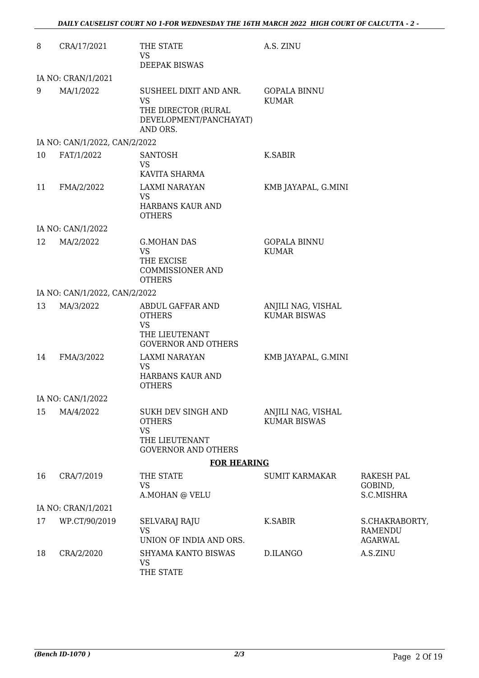| 8  | CRA/17/2021                   | THE STATE<br>VS                                                                                  | A.S. ZINU                                 |                                                    |
|----|-------------------------------|--------------------------------------------------------------------------------------------------|-------------------------------------------|----------------------------------------------------|
|    |                               | <b>DEEPAK BISWAS</b>                                                                             |                                           |                                                    |
|    | IA NO: CRAN/1/2021            |                                                                                                  |                                           |                                                    |
| 9  | MA/1/2022                     | SUSHEEL DIXIT AND ANR.<br><b>VS</b><br>THE DIRECTOR (RURAL<br>DEVELOPMENT/PANCHAYAT)<br>AND ORS. | <b>GOPALA BINNU</b><br><b>KUMAR</b>       |                                                    |
|    | IA NO: CAN/1/2022, CAN/2/2022 |                                                                                                  |                                           |                                                    |
| 10 | FAT/1/2022                    | <b>SANTOSH</b><br><b>VS</b><br>KAVITA SHARMA                                                     | K.SABIR                                   |                                                    |
| 11 | FMA/2/2022                    | <b>LAXMI NARAYAN</b><br><b>VS</b><br>HARBANS KAUR AND<br><b>OTHERS</b>                           | KMB JAYAPAL, G.MINI                       |                                                    |
|    | IA NO: CAN/1/2022             |                                                                                                  |                                           |                                                    |
| 12 | MA/2/2022                     | <b>G.MOHAN DAS</b><br><b>VS</b><br>THE EXCISE<br><b>COMMISSIONER AND</b><br><b>OTHERS</b>        | <b>GOPALA BINNU</b><br><b>KUMAR</b>       |                                                    |
|    | IA NO: CAN/1/2022, CAN/2/2022 |                                                                                                  |                                           |                                                    |
| 13 | MA/3/2022                     | ABDUL GAFFAR AND<br><b>OTHERS</b><br><b>VS</b><br>THE LIEUTENANT<br><b>GOVERNOR AND OTHERS</b>   | ANJILI NAG, VISHAL<br><b>KUMAR BISWAS</b> |                                                    |
| 14 | FMA/3/2022                    | <b>LAXMI NARAYAN</b><br><b>VS</b><br>HARBANS KAUR AND<br><b>OTHERS</b>                           | KMB JAYAPAL, G.MINI                       |                                                    |
|    | IA NO: CAN/1/2022             |                                                                                                  |                                           |                                                    |
| 15 | MA/4/2022                     | SUKH DEV SINGH AND<br><b>OTHERS</b><br><b>VS</b><br>THE LIEUTENANT<br><b>GOVERNOR AND OTHERS</b> | ANJILI NAG, VISHAL<br><b>KUMAR BISWAS</b> |                                                    |
|    |                               | <b>FOR HEARING</b>                                                                               |                                           |                                                    |
| 16 | CRA/7/2019                    | THE STATE<br><b>VS</b><br>A.MOHAN @ VELU                                                         | <b>SUMIT KARMAKAR</b>                     | <b>RAKESH PAL</b><br>GOBIND,<br>S.C.MISHRA         |
|    | IA NO: CRAN/1/2021            |                                                                                                  |                                           |                                                    |
| 17 | WP.CT/90/2019                 | SELVARAJ RAJU<br><b>VS</b><br>UNION OF INDIA AND ORS.                                            | K.SABIR                                   | S.CHAKRABORTY,<br><b>RAMENDU</b><br><b>AGARWAL</b> |
| 18 | CRA/2/2020                    | SHYAMA KANTO BISWAS<br><b>VS</b><br>THE STATE                                                    | D.ILANGO                                  | A.S.ZINU                                           |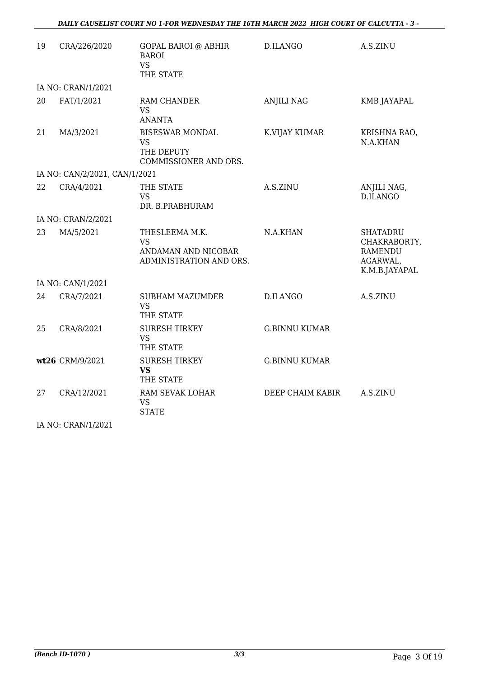| 19 | CRA/226/2020                  | <b>GOPAL BAROI @ ABHIR</b><br><b>BAROI</b><br><b>VS</b><br>THE STATE          | D.ILANGO             | A.S.ZINU                                                                       |  |  |  |
|----|-------------------------------|-------------------------------------------------------------------------------|----------------------|--------------------------------------------------------------------------------|--|--|--|
|    | IA NO: CRAN/1/2021            |                                                                               |                      |                                                                                |  |  |  |
| 20 | FAT/1/2021                    | <b>RAM CHANDER</b><br><b>VS</b><br><b>ANANTA</b>                              | <b>ANJILI NAG</b>    | <b>KMB JAYAPAL</b>                                                             |  |  |  |
| 21 | MA/3/2021                     | <b>BISESWAR MONDAL</b><br><b>VS</b><br>THE DEPUTY<br>COMMISSIONER AND ORS.    | K.VIJAY KUMAR        | KRISHNA RAO,<br>N.A.KHAN                                                       |  |  |  |
|    | IA NO: CAN/2/2021, CAN/1/2021 |                                                                               |                      |                                                                                |  |  |  |
| 22 | CRA/4/2021                    | THE STATE<br><b>VS</b><br>DR. B.PRABHURAM                                     | A.S.ZINU             | ANJILI NAG,<br>D.ILANGO                                                        |  |  |  |
|    | IA NO: CRAN/2/2021            |                                                                               |                      |                                                                                |  |  |  |
| 23 | MA/5/2021                     | THESLEEMA M.K.<br><b>VS</b><br>ANDAMAN AND NICOBAR<br>ADMINISTRATION AND ORS. | N.A.KHAN             | <b>SHATADRU</b><br>CHAKRABORTY,<br><b>RAMENDU</b><br>AGARWAL,<br>K.M.B.JAYAPAL |  |  |  |
|    | IA NO: CAN/1/2021             |                                                                               |                      |                                                                                |  |  |  |
| 24 | CRA/7/2021                    | <b>SUBHAM MAZUMDER</b><br><b>VS</b><br>THE STATE                              | <b>D.ILANGO</b>      | A.S.ZINU                                                                       |  |  |  |
| 25 | CRA/8/2021                    | <b>SURESH TIRKEY</b><br><b>VS</b><br>THE STATE                                | <b>G.BINNU KUMAR</b> |                                                                                |  |  |  |
|    | wt26 CRM/9/2021               | <b>SURESH TIRKEY</b><br><b>VS</b><br>THE STATE                                | <b>G.BINNU KUMAR</b> |                                                                                |  |  |  |
| 27 | CRA/12/2021                   | RAM SEVAK LOHAR<br><b>VS</b><br><b>STATE</b>                                  | DEEP CHAIM KABIR     | A.S.ZINU                                                                       |  |  |  |

IA NO: CRAN/1/2021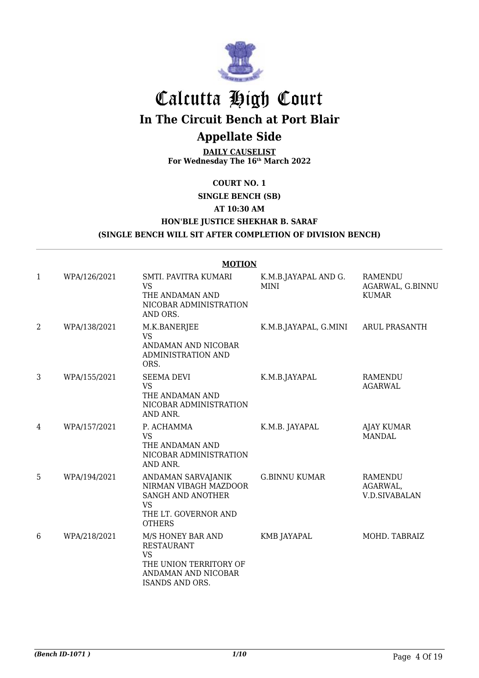

# Calcutta High Court

**In The Circuit Bench at Port Blair**

### **Appellate Side**

**DAILY CAUSELIST For Wednesday The 16th March 2022**

#### **COURT NO. 1**

#### **SINGLE BENCH (SB)**

#### **AT 10:30 AM**

#### **HON'BLE JUSTICE SHEKHAR B. SARAF**

#### **(SINGLE BENCH WILL SIT AFTER COMPLETION OF DIVISION BENCH)**

|                |              | <b>MOTION</b>                                                                                                                  |                              |                                             |
|----------------|--------------|--------------------------------------------------------------------------------------------------------------------------------|------------------------------|---------------------------------------------|
| 1              | WPA/126/2021 | SMTI. PAVITRA KUMARI<br><b>VS</b><br>THE ANDAMAN AND<br>NICOBAR ADMINISTRATION<br>AND ORS.                                     | K.M.B.JAYAPAL AND G.<br>MINI | RAMENDU<br>AGARWAL, G.BINNU<br><b>KUMAR</b> |
| $\overline{2}$ | WPA/138/2021 | M.K.BANERJEE<br><b>VS</b><br>ANDAMAN AND NICOBAR<br><b>ADMINISTRATION AND</b><br>ORS.                                          | K.M.B.JAYAPAL, G.MINI        | <b>ARUL PRASANTH</b>                        |
| 3              | WPA/155/2021 | <b>SEEMA DEVI</b><br><b>VS</b><br>THE ANDAMAN AND<br>NICOBAR ADMINISTRATION<br>AND ANR.                                        | K.M.B.JAYAPAL                | RAMENDU<br><b>AGARWAL</b>                   |
| 4              | WPA/157/2021 | P. ACHAMMA<br><b>VS</b><br>THE ANDAMAN AND<br>NICOBAR ADMINISTRATION<br>AND ANR.                                               | K.M.B. JAYAPAL               | <b>AJAY KUMAR</b><br><b>MANDAL</b>          |
| 5              | WPA/194/2021 | ANDAMAN SARVAJANIK<br>NIRMAN VIBAGH MAZDOOR<br>SANGH AND ANOTHER<br><b>VS</b><br>THE LT. GOVERNOR AND<br><b>OTHERS</b>         | <b>G.BINNU KUMAR</b>         | RAMENDU<br>AGARWAL,<br><b>V.D.SIVABALAN</b> |
| 6              | WPA/218/2021 | M/S HONEY BAR AND<br><b>RESTAURANT</b><br><b>VS</b><br>THE UNION TERRITORY OF<br>ANDAMAN AND NICOBAR<br><b>ISANDS AND ORS.</b> | KMB JAYAPAL                  | MOHD. TABRAIZ                               |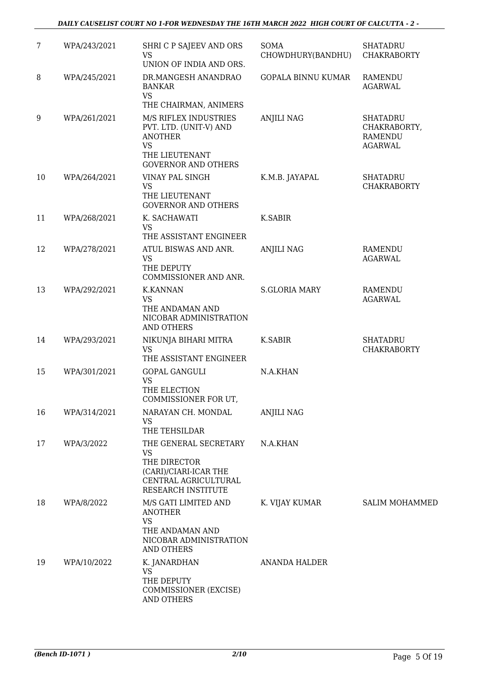| 7  | WPA/243/2021 | SHRI C P SAJEEV AND ORS<br><b>VS</b><br>UNION OF INDIA AND ORS.                                                                | SOMA<br>CHOWDHURY(BANDHU) | <b>SHATADRU</b><br><b>CHAKRABORTY</b>                               |
|----|--------------|--------------------------------------------------------------------------------------------------------------------------------|---------------------------|---------------------------------------------------------------------|
| 8  | WPA/245/2021 | DR.MANGESH ANANDRAO<br><b>BANKAR</b><br><b>VS</b>                                                                              | <b>GOPALA BINNU KUMAR</b> | <b>RAMENDU</b><br><b>AGARWAL</b>                                    |
|    |              | THE CHAIRMAN, ANIMERS                                                                                                          |                           |                                                                     |
| 9  | WPA/261/2021 | M/S RIFLEX INDUSTRIES<br>PVT. LTD. (UNIT-V) AND<br><b>ANOTHER</b><br><b>VS</b><br>THE LIEUTENANT<br><b>GOVERNOR AND OTHERS</b> | <b>ANJILI NAG</b>         | <b>SHATADRU</b><br>CHAKRABORTY,<br><b>RAMENDU</b><br><b>AGARWAL</b> |
| 10 | WPA/264/2021 | VINAY PAL SINGH<br><b>VS</b><br>THE LIEUTENANT<br><b>GOVERNOR AND OTHERS</b>                                                   | K.M.B. JAYAPAL            | <b>SHATADRU</b><br><b>CHAKRABORTY</b>                               |
| 11 | WPA/268/2021 | K. SACHAWATI<br><b>VS</b><br>THE ASSISTANT ENGINEER                                                                            | K.SABIR                   |                                                                     |
| 12 | WPA/278/2021 | ATUL BISWAS AND ANR.<br><b>VS</b><br>THE DEPUTY<br>COMMISSIONER AND ANR.                                                       | <b>ANJILI NAG</b>         | <b>RAMENDU</b><br><b>AGARWAL</b>                                    |
| 13 | WPA/292/2021 | <b>K.KANNAN</b><br><b>VS</b><br>THE ANDAMAN AND<br>NICOBAR ADMINISTRATION<br><b>AND OTHERS</b>                                 | <b>S.GLORIA MARY</b>      | <b>RAMENDU</b><br><b>AGARWAL</b>                                    |
| 14 | WPA/293/2021 | NIKUNJA BIHARI MITRA<br><b>VS</b><br>THE ASSISTANT ENGINEER                                                                    | K.SABIR                   | <b>SHATADRU</b><br><b>CHAKRABORTY</b>                               |
| 15 | WPA/301/2021 | <b>GOPAL GANGULI</b><br><b>VS</b><br>THE ELECTION<br>COMMISSIONER FOR UT,                                                      | N.A.KHAN                  |                                                                     |
| 16 | WPA/314/2021 | NARAYAN CH. MONDAL<br>VS<br>THE TEHSILDAR                                                                                      | <b>ANJILI NAG</b>         |                                                                     |
| 17 | WPA/3/2022   | THE GENERAL SECRETARY<br><b>VS</b><br>THE DIRECTOR<br>(CARI)/CIARI-ICAR THE<br>CENTRAL AGRICULTURAL<br>RESEARCH INSTITUTE      | N.A.KHAN                  |                                                                     |
| 18 | WPA/8/2022   | M/S GATI LIMITED AND<br><b>ANOTHER</b><br><b>VS</b><br>THE ANDAMAN AND<br>NICOBAR ADMINISTRATION<br><b>AND OTHERS</b>          | K. VIJAY KUMAR            | <b>SALIM MOHAMMED</b>                                               |
| 19 | WPA/10/2022  | K. JANARDHAN<br><b>VS</b><br>THE DEPUTY<br>COMMISSIONER (EXCISE)<br>AND OTHERS                                                 | ANANDA HALDER             |                                                                     |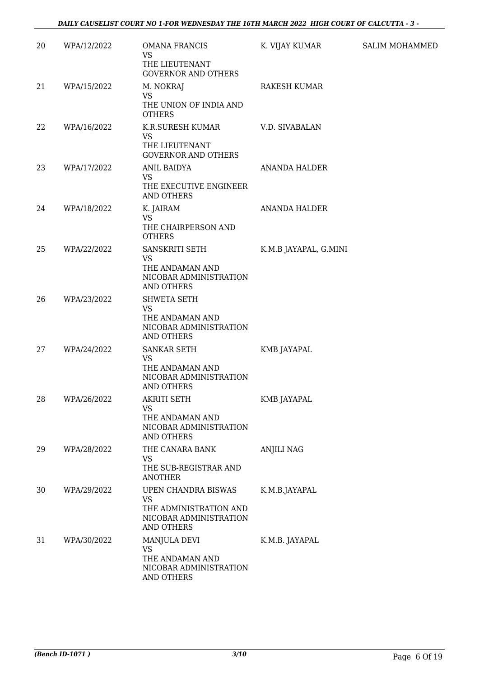| 20 | WPA/12/2022 | <b>OMANA FRANCIS</b><br><b>VS</b><br>THE LIEUTENANT<br><b>GOVERNOR AND OTHERS</b>                                | K. VIJAY KUMAR        | <b>SALIM MOHAMMED</b> |
|----|-------------|------------------------------------------------------------------------------------------------------------------|-----------------------|-----------------------|
| 21 | WPA/15/2022 | M. NOKRAJ<br><b>VS</b><br>THE UNION OF INDIA AND<br><b>OTHERS</b>                                                | <b>RAKESH KUMAR</b>   |                       |
| 22 | WPA/16/2022 | K.R.SURESH KUMAR<br><b>VS</b><br>THE LIEUTENANT<br><b>GOVERNOR AND OTHERS</b>                                    | V.D. SIVABALAN        |                       |
| 23 | WPA/17/2022 | ANIL BAIDYA<br><b>VS</b><br>THE EXECUTIVE ENGINEER<br><b>AND OTHERS</b>                                          | <b>ANANDA HALDER</b>  |                       |
| 24 | WPA/18/2022 | K. JAIRAM<br><b>VS</b><br>THE CHAIRPERSON AND<br><b>OTHERS</b>                                                   | <b>ANANDA HALDER</b>  |                       |
| 25 | WPA/22/2022 | SANSKRITI SETH<br><b>VS</b><br>THE ANDAMAN AND<br>NICOBAR ADMINISTRATION<br><b>AND OTHERS</b>                    | K.M.B JAYAPAL, G.MINI |                       |
| 26 | WPA/23/2022 | SHWETA SETH<br><b>VS</b><br>THE ANDAMAN AND<br>NICOBAR ADMINISTRATION<br><b>AND OTHERS</b>                       |                       |                       |
| 27 | WPA/24/2022 | SANKAR SETH<br><b>VS</b><br>THE ANDAMAN AND<br>NICOBAR ADMINISTRATION<br><b>AND OTHERS</b>                       | <b>KMB JAYAPAL</b>    |                       |
| 28 | WPA/26/2022 | AKRITI SETH<br>VS<br>THE ANDAMAN AND<br>NICOBAR ADMINISTRATION<br><b>AND OTHERS</b>                              | KMB JAYAPAL           |                       |
| 29 | WPA/28/2022 | THE CANARA BANK<br><b>VS</b><br>THE SUB-REGISTRAR AND<br><b>ANOTHER</b>                                          | <b>ANJILI NAG</b>     |                       |
| 30 | WPA/29/2022 | <b>UPEN CHANDRA BISWAS</b><br><b>VS</b><br>THE ADMINISTRATION AND<br>NICOBAR ADMINISTRATION<br><b>AND OTHERS</b> | K.M.B.JAYAPAL         |                       |
| 31 | WPA/30/2022 | MANJULA DEVI<br><b>VS</b><br>THE ANDAMAN AND<br>NICOBAR ADMINISTRATION<br>AND OTHERS                             | K.M.B. JAYAPAL        |                       |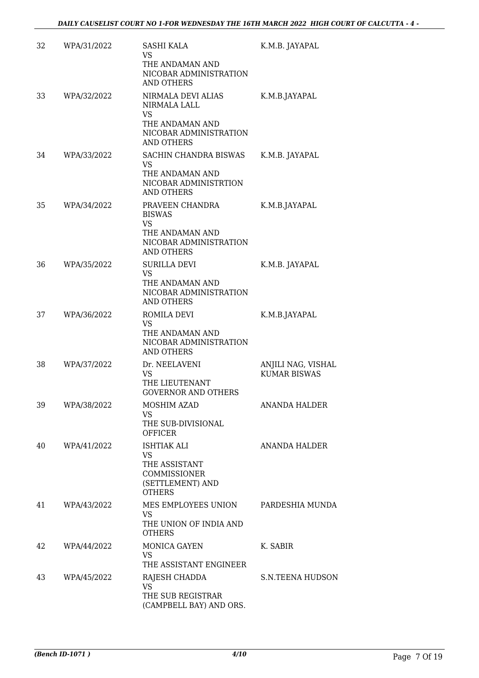| 32 | WPA/31/2022 | <b>SASHI KALA</b><br>VS.<br>THE ANDAMAN AND<br>NICOBAR ADMINISTRATION<br><b>AND OTHERS</b>                  | K.M.B. JAYAPAL                            |
|----|-------------|-------------------------------------------------------------------------------------------------------------|-------------------------------------------|
| 33 | WPA/32/2022 | NIRMALA DEVI ALIAS<br>NIRMALA LALL<br>VS.<br>THE ANDAMAN AND<br>NICOBAR ADMINISTRATION<br><b>AND OTHERS</b> | K.M.B.JAYAPAL                             |
| 34 | WPA/33/2022 | SACHIN CHANDRA BISWAS<br>VS.<br>THE ANDAMAN AND<br>NICOBAR ADMINISTRTION<br><b>AND OTHERS</b>               | K.M.B. JAYAPAL                            |
| 35 | WPA/34/2022 | PRAVEEN CHANDRA<br><b>BISWAS</b><br>VS<br>THE ANDAMAN AND<br>NICOBAR ADMINISTRATION<br><b>AND OTHERS</b>    | K.M.B.JAYAPAL                             |
| 36 | WPA/35/2022 | <b>SURILLA DEVI</b><br>VS.<br>THE ANDAMAN AND<br>NICOBAR ADMINISTRATION<br><b>AND OTHERS</b>                | K.M.B. JAYAPAL                            |
| 37 | WPA/36/2022 | ROMILA DEVI<br>VS.<br>THE ANDAMAN AND<br>NICOBAR ADMINISTRATION<br><b>AND OTHERS</b>                        | K.M.B.JAYAPAL                             |
| 38 | WPA/37/2022 | Dr. NEELAVENI<br>VS<br>THE LIEUTENANT<br><b>GOVERNOR AND OTHERS</b>                                         | ANJILI NAG, VISHAL<br><b>KUMAR BISWAS</b> |
| 39 | WPA/38/2022 | MOSHIM AZAD<br>VS.<br>THE SUB-DIVISIONAL<br><b>OFFICER</b>                                                  | <b>ANANDA HALDER</b>                      |
| 40 | WPA/41/2022 | <b>ISHTIAK ALI</b><br>VS.<br>THE ASSISTANT<br>COMMISSIONER<br>(SETTLEMENT) AND<br><b>OTHERS</b>             | ANANDA HALDER                             |
| 41 | WPA/43/2022 | MES EMPLOYEES UNION<br><b>VS</b><br>THE UNION OF INDIA AND<br><b>OTHERS</b>                                 | PARDESHIA MUNDA                           |
| 42 | WPA/44/2022 | MONICA GAYEN<br>VS.<br>THE ASSISTANT ENGINEER                                                               | K. SABIR                                  |
| 43 | WPA/45/2022 | RAJESH CHADDA<br>VS<br>THE SUB REGISTRAR<br>(CAMPBELL BAY) AND ORS.                                         | <b>S.N.TEENA HUDSON</b>                   |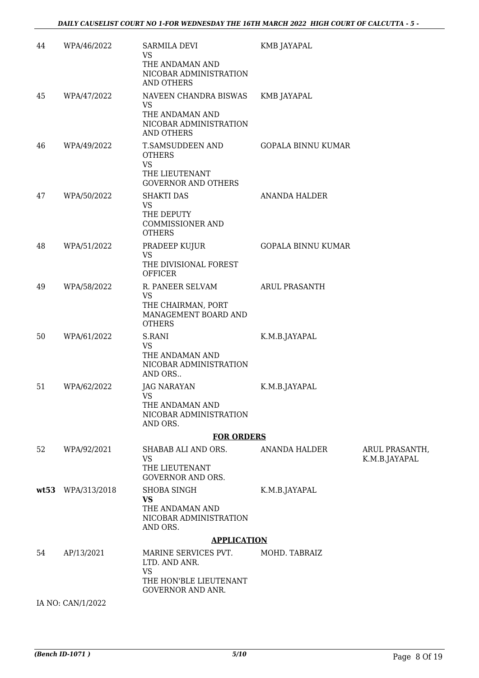| 44   | WPA/46/2022       | SARMILA DEVI<br>VS<br>THE ANDAMAN AND                                                          | <b>KMB JAYAPAL</b>        |                                 |
|------|-------------------|------------------------------------------------------------------------------------------------|---------------------------|---------------------------------|
|      |                   | NICOBAR ADMINISTRATION<br>AND OTHERS                                                           |                           |                                 |
| 45   | WPA/47/2022       | NAVEEN CHANDRA BISWAS<br><b>VS</b><br>THE ANDAMAN AND<br>NICOBAR ADMINISTRATION<br>AND OTHERS  | KMB JAYAPAL               |                                 |
| 46   | WPA/49/2022       | T.SAMSUDDEEN AND<br><b>OTHERS</b><br><b>VS</b><br>THE LIEUTENANT<br><b>GOVERNOR AND OTHERS</b> | <b>GOPALA BINNU KUMAR</b> |                                 |
| 47   | WPA/50/2022       | <b>SHAKTI DAS</b><br><b>VS</b><br>THE DEPUTY<br><b>COMMISSIONER AND</b><br><b>OTHERS</b>       | <b>ANANDA HALDER</b>      |                                 |
| 48   | WPA/51/2022       | PRADEEP KUJUR<br><b>VS</b><br>THE DIVISIONAL FOREST<br><b>OFFICER</b>                          | <b>GOPALA BINNU KUMAR</b> |                                 |
| 49   | WPA/58/2022       | R. PANEER SELVAM<br><b>VS</b><br>THE CHAIRMAN, PORT<br>MANAGEMENT BOARD AND<br><b>OTHERS</b>   | <b>ARUL PRASANTH</b>      |                                 |
| 50   | WPA/61/2022       | S.RANI<br><b>VS</b><br>THE ANDAMAN AND<br>NICOBAR ADMINISTRATION<br>AND ORS                    | K.M.B.JAYAPAL             |                                 |
| 51   | WPA/62/2022       | <b>JAG NARAYAN</b><br><b>VS</b><br>THE ANDAMAN AND<br>NICOBAR ADMINISTRATION<br>AND ORS.       | K.M.B.JAYAPAL             |                                 |
|      |                   | <b>FOR ORDERS</b>                                                                              |                           |                                 |
| 52   | WPA/92/2021       | SHABAB ALI AND ORS.<br>VS<br>THE LIEUTENANT<br><b>GOVERNOR AND ORS.</b>                        | ANANDA HALDER             | ARUL PRASANTH,<br>K.M.B.JAYAPAL |
| wt53 | WPA/313/2018      | <b>SHOBA SINGH</b><br><b>VS</b><br>THE ANDAMAN AND<br>NICOBAR ADMINISTRATION<br>AND ORS.       | K.M.B.JAYAPAL             |                                 |
|      |                   | <b>APPLICATION</b>                                                                             |                           |                                 |
| 54   | AP/13/2021        | MARINE SERVICES PVT.<br>LTD. AND ANR.<br>VS                                                    | MOHD. TABRAIZ             |                                 |
|      |                   | THE HON'BLE LIEUTENANT<br><b>GOVERNOR AND ANR.</b>                                             |                           |                                 |
|      | IA NO: CAN/1/2022 |                                                                                                |                           |                                 |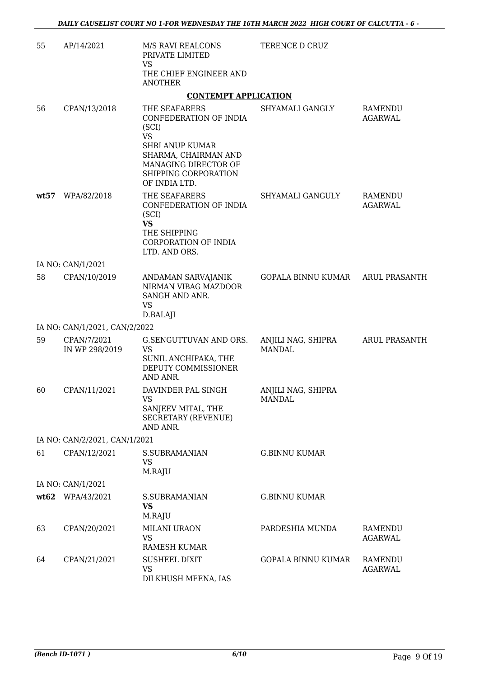| 55   | AP/14/2021                    | M/S RAVI REALCONS<br>PRIVATE LIMITED                                                                                                                                             | TERENCE D CRUZ                      |                           |
|------|-------------------------------|----------------------------------------------------------------------------------------------------------------------------------------------------------------------------------|-------------------------------------|---------------------------|
|      |                               | <b>VS</b><br>THE CHIEF ENGINEER AND<br><b>ANOTHER</b>                                                                                                                            |                                     |                           |
|      |                               | <b>CONTEMPT APPLICATION</b>                                                                                                                                                      |                                     |                           |
| 56   | CPAN/13/2018                  | THE SEAFARERS<br>CONFEDERATION OF INDIA<br>(SCI)<br><b>VS</b><br><b>SHRI ANUP KUMAR</b><br>SHARMA, CHAIRMAN AND<br>MANAGING DIRECTOR OF<br>SHIPPING CORPORATION<br>OF INDIA LTD. | SHYAMALI GANGLY                     | RAMENDU<br>AGARWAL        |
| wt57 | WPA/82/2018                   | THE SEAFARERS<br>CONFEDERATION OF INDIA<br>(SCI)<br><b>VS</b><br>THE SHIPPING<br>CORPORATION OF INDIA<br>LTD. AND ORS.                                                           | SHYAMALI GANGULY                    | RAMENDU<br><b>AGARWAL</b> |
|      | IA NO: CAN/1/2021             |                                                                                                                                                                                  |                                     |                           |
| 58   | CPAN/10/2019                  | ANDAMAN SARVAJANIK<br>NIRMAN VIBAG MAZDOOR<br>SANGH AND ANR.<br><b>VS</b><br>D.BALAJI                                                                                            | GOPALA BINNU KUMAR ARUL PRASANTH    |                           |
|      | IA NO: CAN/1/2021, CAN/2/2022 |                                                                                                                                                                                  |                                     |                           |
| 59   | CPAN/7/2021<br>IN WP 298/2019 | G.SENGUTTUVAN AND ORS.<br>VS<br>SUNIL ANCHIPAKA, THE<br>DEPUTY COMMISSIONER<br>AND ANR.                                                                                          | ANJILI NAG, SHIPRA<br><b>MANDAL</b> | <b>ARUL PRASANTH</b>      |
| 60   | CPAN/11/2021                  | DAVINDER PAL SINGH<br><b>VS</b><br>SANJEEV MITAL, THE<br><b>SECRETARY (REVENUE)</b><br>AND ANR.                                                                                  | ANJILI NAG, SHIPRA<br><b>MANDAL</b> |                           |
|      | IA NO: CAN/2/2021, CAN/1/2021 |                                                                                                                                                                                  |                                     |                           |
| 61   | CPAN/12/2021                  | S.SUBRAMANIAN<br>VS<br>M.RAJU                                                                                                                                                    | <b>G.BINNU KUMAR</b>                |                           |
|      | IA NO: CAN/1/2021             |                                                                                                                                                                                  |                                     |                           |
|      | wt62 WPA/43/2021              | <b>S.SUBRAMANIAN</b><br><b>VS</b><br>M.RAJU                                                                                                                                      | <b>G.BINNU KUMAR</b>                |                           |
| 63   | CPAN/20/2021                  | <b>MILANI URAON</b><br><b>VS</b><br><b>RAMESH KUMAR</b>                                                                                                                          | PARDESHIA MUNDA                     | RAMENDU<br><b>AGARWAL</b> |
| 64   | CPAN/21/2021                  | <b>SUSHEEL DIXIT</b><br>VS<br>DILKHUSH MEENA, IAS                                                                                                                                | <b>GOPALA BINNU KUMAR</b>           | RAMENDU<br><b>AGARWAL</b> |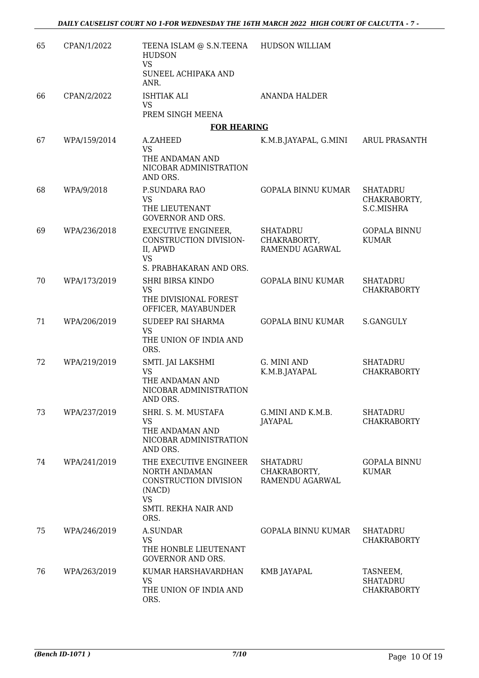| 65 | CPAN/1/2022  | TEENA ISLAM @ S.N.TEENA HUDSON WILLIAM<br><b>HUDSON</b><br><b>VS</b>                                                    |                                                    |                                                   |
|----|--------------|-------------------------------------------------------------------------------------------------------------------------|----------------------------------------------------|---------------------------------------------------|
|    |              | SUNEEL ACHIPAKA AND<br>ANR.                                                                                             |                                                    |                                                   |
| 66 | CPAN/2/2022  | <b>ISHTIAK ALI</b><br><b>VS</b>                                                                                         | <b>ANANDA HALDER</b>                               |                                                   |
|    |              | PREM SINGH MEENA                                                                                                        |                                                    |                                                   |
|    |              | <b>FOR HEARING</b>                                                                                                      |                                                    |                                                   |
| 67 | WPA/159/2014 | A.ZAHEED<br><b>VS</b><br>THE ANDAMAN AND<br>NICOBAR ADMINISTRATION<br>AND ORS.                                          | K.M.B.JAYAPAL, G.MINI                              | <b>ARUL PRASANTH</b>                              |
| 68 | WPA/9/2018   | P.SUNDARA RAO<br><b>VS</b><br>THE LIEUTENANT<br><b>GOVERNOR AND ORS.</b>                                                | <b>GOPALA BINNU KUMAR</b>                          | <b>SHATADRU</b><br>CHAKRABORTY,<br>S.C.MISHRA     |
| 69 | WPA/236/2018 | <b>EXECUTIVE ENGINEER,</b><br>CONSTRUCTION DIVISION-<br>II, APWD<br><b>VS</b><br>S. PRABHAKARAN AND ORS.                | SHATADRU<br>CHAKRABORTY,<br>RAMENDU AGARWAL        | <b>GOPALA BINNU</b><br><b>KUMAR</b>               |
| 70 | WPA/173/2019 | <b>SHRI BIRSA KINDO</b><br><b>VS</b><br>THE DIVISIONAL FOREST<br>OFFICER, MAYABUNDER                                    | <b>GOPALA BINU KUMAR</b>                           | <b>SHATADRU</b><br><b>CHAKRABORTY</b>             |
| 71 | WPA/206/2019 | SUDEEP RAI SHARMA<br><b>VS</b><br>THE UNION OF INDIA AND<br>ORS.                                                        | <b>GOPALA BINU KUMAR</b>                           | <b>S.GANGULY</b>                                  |
| 72 | WPA/219/2019 | SMTI. JAI LAKSHMI<br><b>VS</b><br>THE ANDAMAN AND<br>NICOBAR ADMINISTRATION<br>AND ORS.                                 | G. MINI AND<br>K.M.B.JAYAPAL                       | <b>SHATADRU</b><br><b>CHAKRABORTY</b>             |
| 73 | WPA/237/2019 | SHRI. S. M. MUSTAFA<br><b>VS</b><br>THE ANDAMAN AND<br>NICOBAR ADMINISTRATION<br>AND ORS.                               | G.MINI AND K.M.B.<br>JAYAPAL                       | <b>SHATADRU</b><br><b>CHAKRABORTY</b>             |
| 74 | WPA/241/2019 | THE EXECUTIVE ENGINEER<br>NORTH ANDAMAN<br>CONSTRUCTION DIVISION<br>(NACD)<br><b>VS</b><br>SMTI. REKHA NAIR AND<br>ORS. | <b>SHATADRU</b><br>CHAKRABORTY,<br>RAMENDU AGARWAL | <b>GOPALA BINNU</b><br><b>KUMAR</b>               |
| 75 | WPA/246/2019 | <b>A.SUNDAR</b><br>VS<br>THE HONBLE LIEUTENANT<br><b>GOVERNOR AND ORS.</b>                                              | <b>GOPALA BINNU KUMAR</b>                          | <b>SHATADRU</b><br><b>CHAKRABORTY</b>             |
| 76 | WPA/263/2019 | KUMAR HARSHAVARDHAN<br><b>VS</b><br>THE UNION OF INDIA AND<br>ORS.                                                      | KMB JAYAPAL                                        | TASNEEM,<br><b>SHATADRU</b><br><b>CHAKRABORTY</b> |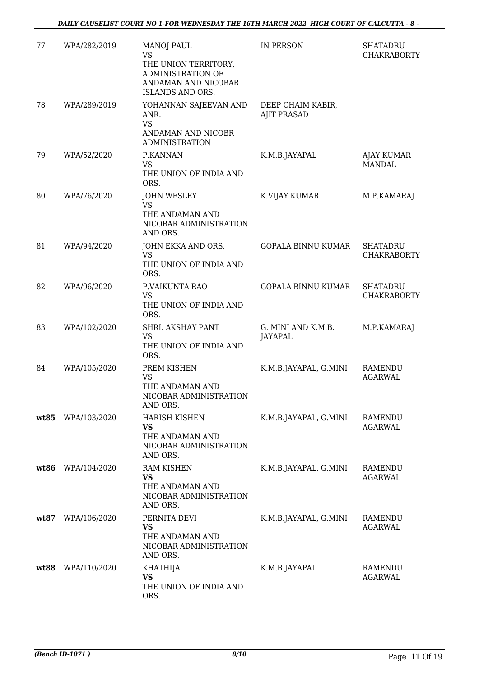| 77   | WPA/282/2019 | <b>MANOJ PAUL</b><br><b>VS</b><br>THE UNION TERRITORY,<br>ADMINISTRATION OF<br>ANDAMAN AND NICOBAR<br>ISLANDS AND ORS. | IN PERSON                               | <b>SHATADRU</b><br><b>CHAKRABORTY</b> |
|------|--------------|------------------------------------------------------------------------------------------------------------------------|-----------------------------------------|---------------------------------------|
| 78   | WPA/289/2019 | YOHANNAN SAJEEVAN AND<br>ANR.<br><b>VS</b><br>ANDAMAN AND NICOBR<br><b>ADMINISTRATION</b>                              | DEEP CHAIM KABIR,<br><b>AJIT PRASAD</b> |                                       |
| 79   | WPA/52/2020  | P.KANNAN<br>VS<br>THE UNION OF INDIA AND<br>ORS.                                                                       | K.M.B.JAYAPAL                           | <b>AJAY KUMAR</b><br><b>MANDAL</b>    |
| 80   | WPA/76/2020  | <b>JOHN WESLEY</b><br>VS<br>THE ANDAMAN AND<br>NICOBAR ADMINISTRATION<br>AND ORS.                                      | K.VIJAY KUMAR                           | M.P.KAMARAJ                           |
| 81   | WPA/94/2020  | JOHN EKKA AND ORS.<br><b>VS</b><br>THE UNION OF INDIA AND<br>ORS.                                                      | <b>GOPALA BINNU KUMAR</b>               | <b>SHATADRU</b><br><b>CHAKRABORTY</b> |
| 82   | WPA/96/2020  | P.VAIKUNTA RAO<br><b>VS</b><br>THE UNION OF INDIA AND<br>ORS.                                                          | <b>GOPALA BINNU KUMAR</b>               | <b>SHATADRU</b><br><b>CHAKRABORTY</b> |
| 83   | WPA/102/2020 | SHRI. AKSHAY PANT<br>VS<br>THE UNION OF INDIA AND<br>ORS.                                                              | G. MINI AND K.M.B.<br><b>JAYAPAL</b>    | M.P.KAMARAJ                           |
| 84   | WPA/105/2020 | PREM KISHEN<br><b>VS</b><br>THE ANDAMAN AND<br>NICOBAR ADMINISTRATION<br>AND ORS.                                      | K.M.B.JAYAPAL, G.MINI                   | <b>RAMENDU</b><br><b>AGARWAL</b>      |
| wt85 | WPA/103/2020 | <b>HARISH KISHEN</b><br><b>VS</b><br>THE ANDAMAN AND<br>NICOBAR ADMINISTRATION<br>AND ORS.                             | K.M.B.JAYAPAL, G.MINI                   | RAMENDU<br><b>AGARWAL</b>             |
| wt86 | WPA/104/2020 | <b>RAM KISHEN</b><br><b>VS</b><br>THE ANDAMAN AND<br>NICOBAR ADMINISTRATION<br>AND ORS.                                | K.M.B.JAYAPAL, G.MINI                   | RAMENDU<br><b>AGARWAL</b>             |
| wt87 | WPA/106/2020 | PERNITA DEVI<br><b>VS</b><br>THE ANDAMAN AND<br>NICOBAR ADMINISTRATION<br>AND ORS.                                     | K.M.B.JAYAPAL, G.MINI                   | RAMENDU<br><b>AGARWAL</b>             |
| wt88 | WPA/110/2020 | KHATHIJA<br><b>VS</b><br>THE UNION OF INDIA AND<br>ORS.                                                                | K.M.B.JAYAPAL                           | RAMENDU<br><b>AGARWAL</b>             |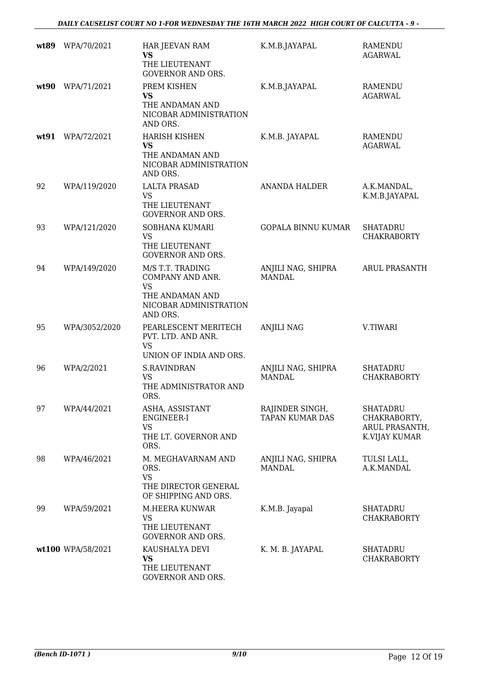| wt89 | WPA/70/2021       | HAR JEEVAN RAM<br><b>VS</b><br>THE LIEUTENANT<br><b>GOVERNOR AND ORS.</b>                                  | K.M.B.JAYAPAL                             | <b>RAMENDU</b><br><b>AGARWAL</b>                           |
|------|-------------------|------------------------------------------------------------------------------------------------------------|-------------------------------------------|------------------------------------------------------------|
| wt90 | WPA/71/2021       | PREM KISHEN<br><b>VS</b><br>THE ANDAMAN AND<br>NICOBAR ADMINISTRATION<br>AND ORS.                          | K.M.B.JAYAPAL                             | <b>RAMENDU</b><br><b>AGARWAL</b>                           |
| wt91 | WPA/72/2021       | <b>HARISH KISHEN</b><br><b>VS</b><br>THE ANDAMAN AND<br>NICOBAR ADMINISTRATION<br>AND ORS.                 | K.M.B. JAYAPAL                            | <b>RAMENDU</b><br><b>AGARWAL</b>                           |
| 92   | WPA/119/2020      | <b>LALTA PRASAD</b><br><b>VS</b><br>THE LIEUTENANT<br><b>GOVERNOR AND ORS.</b>                             | <b>ANANDA HALDER</b>                      | A.K.MANDAL,<br>K.M.B.JAYAPAL                               |
| 93   | WPA/121/2020      | <b>SOBHANA KUMARI</b><br>VS<br>THE LIEUTENANT<br><b>GOVERNOR AND ORS.</b>                                  | <b>GOPALA BINNU KUMAR</b>                 | <b>SHATADRU</b><br><b>CHAKRABORTY</b>                      |
| 94   | WPA/149/2020      | M/S T.T. TRADING<br>COMPANY AND ANR.<br><b>VS</b><br>THE ANDAMAN AND<br>NICOBAR ADMINISTRATION<br>AND ORS. | ANJILI NAG, SHIPRA<br><b>MANDAL</b>       | <b>ARUL PRASANTH</b>                                       |
| 95   | WPA/3052/2020     | PEARLESCENT MERITECH<br>PVT. LTD. AND ANR.<br><b>VS</b><br>UNION OF INDIA AND ORS.                         | <b>ANJILI NAG</b>                         | V.TIWARI                                                   |
| 96   | WPA/2/2021        | <b>S.RAVINDRAN</b><br><b>VS</b><br>THE ADMINISTRATOR AND<br>ORS.                                           | ANJILI NAG, SHIPRA<br><b>MANDAL</b>       | <b>SHATADRU</b><br><b>CHAKRABORTY</b>                      |
| 97   | WPA/44/2021       | ASHA, ASSISTANT<br>ENGINEER-I<br>VS<br>THE LT. GOVERNOR AND<br>ORS.                                        | RAJINDER SINGH,<br><b>TAPAN KUMAR DAS</b> | SHATADRU<br>CHAKRABORTY,<br>ARUL PRASANTH<br>K.VIJAY KUMAR |
| 98   | WPA/46/2021       | M. MEGHAVARNAM AND<br>ORS.<br>VS<br>THE DIRECTOR GENERAL<br>OF SHIPPING AND ORS.                           | ANJILI NAG, SHIPRA<br><b>MANDAL</b>       | TULSI LALL,<br>A.K.MANDAL                                  |
| 99   | WPA/59/2021       | M.HEERA KUNWAR<br>VS<br>THE LIEUTENANT<br><b>GOVERNOR AND ORS.</b>                                         | K.M.B. Jayapal                            | <b>SHATADRU</b><br><b>CHAKRABORTY</b>                      |
|      | wt100 WPA/58/2021 | KAUSHALYA DEVI<br><b>VS</b><br>THE LIEUTENANT<br>GOVERNOR AND ORS.                                         | K. M. B. JAYAPAL                          | <b>SHATADRU</b><br><b>CHAKRABORTY</b>                      |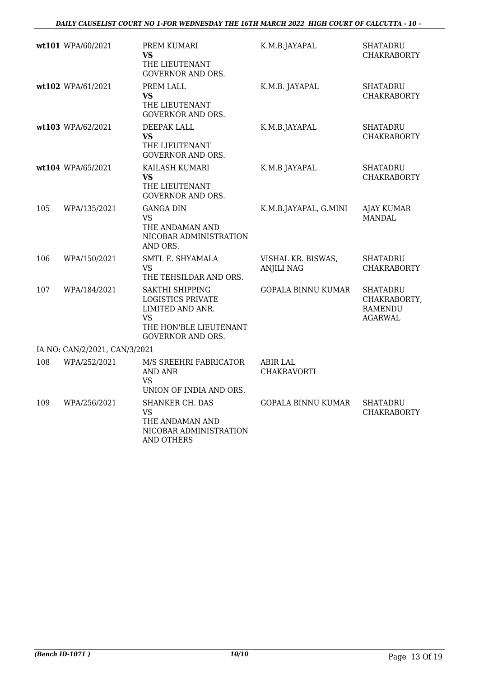|     | wt101 WPA/60/2021             | PREM KUMARI<br><b>VS</b><br>THE LIEUTENANT<br><b>GOVERNOR AND ORS.</b>                                                                    | K.M.B.JAYAPAL                           | <b>SHATADRU</b><br><b>CHAKRABORTY</b>                        |
|-----|-------------------------------|-------------------------------------------------------------------------------------------------------------------------------------------|-----------------------------------------|--------------------------------------------------------------|
|     | wt102 WPA/61/2021             | PREM LALL<br>VS<br>THE LIEUTENANT<br><b>GOVERNOR AND ORS.</b>                                                                             | K.M.B. JAYAPAL                          | <b>SHATADRU</b><br><b>CHAKRABORTY</b>                        |
|     | wt103 WPA/62/2021             | DEEPAK LALL<br>VS<br>THE LIEUTENANT<br><b>GOVERNOR AND ORS.</b>                                                                           | K.M.B.JAYAPAL                           | <b>SHATADRU</b><br><b>CHAKRABORTY</b>                        |
|     | wt104 WPA/65/2021             | KAILASH KUMARI<br>VS<br>THE LIEUTENANT<br><b>GOVERNOR AND ORS.</b>                                                                        | K.M.B JAYAPAL                           | <b>SHATADRU</b><br><b>CHAKRABORTY</b>                        |
| 105 | WPA/135/2021                  | <b>GANGA DIN</b><br>VS<br>THE ANDAMAN AND<br>NICOBAR ADMINISTRATION<br>AND ORS.                                                           | K.M.B.JAYAPAL, G.MINI                   | <b>AJAY KUMAR</b><br><b>MANDAL</b>                           |
| 106 | WPA/150/2021                  | SMTI. E. SHYAMALA<br>VS<br>THE TEHSILDAR AND ORS.                                                                                         | VISHAL KR. BISWAS,<br><b>ANJILI NAG</b> | <b>SHATADRU</b><br><b>CHAKRABORTY</b>                        |
| 107 | WPA/184/2021                  | <b>SAKTHI SHIPPING</b><br><b>LOGISTICS PRIVATE</b><br>LIMITED AND ANR.<br><b>VS</b><br>THE HON'BLE LIEUTENANT<br><b>GOVERNOR AND ORS.</b> | <b>GOPALA BINNU KUMAR</b>               | <b>SHATADRU</b><br>CHAKRABORTY,<br><b>RAMENDU</b><br>AGARWAL |
|     | IA NO: CAN/2/2021, CAN/3/2021 |                                                                                                                                           |                                         |                                                              |
| 108 | WPA/252/2021                  | M/S SREEHRI FABRICATOR<br><b>AND ANR</b><br>VS<br>UNION OF INDIA AND ORS.                                                                 | <b>ABIR LAL</b><br>CHAKRAVORTI          |                                                              |
| 109 | WPA/256/2021                  | SHANKER CH. DAS<br>VS<br>THE ANDAMAN AND<br>NICOBAR ADMINISTRATION<br><b>AND OTHERS</b>                                                   | <b>GOPALA BINNU KUMAR</b>               | <b>SHATADRU</b><br><b>CHAKRABORTY</b>                        |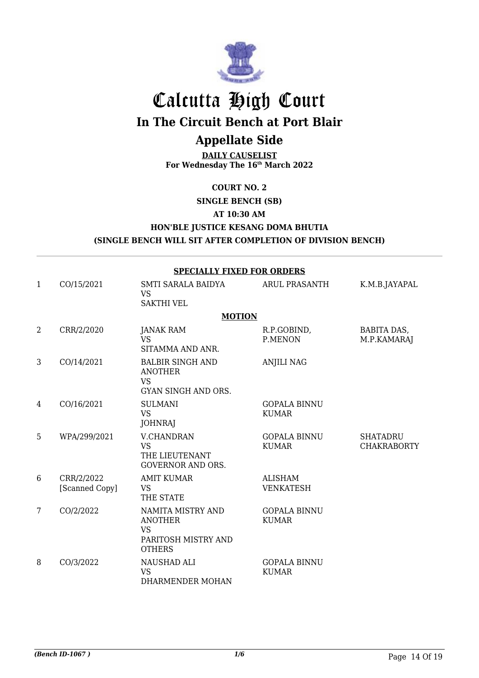

# Calcutta High Court

**In The Circuit Bench at Port Blair**

# **Appellate Side**

**DAILY CAUSELIST For Wednesday The 16th March 2022**

#### **COURT NO. 2**

**SINGLE BENCH (SB)**

**AT 10:30 AM**

#### **HON'BLE JUSTICE KESANG DOMA BHUTIA**

**(SINGLE BENCH WILL SIT AFTER COMPLETION OF DIVISION BENCH)**

|   | <b>SPECIALLY FIXED FOR ORDERS</b> |                                                                                          |                                     |                                       |  |  |
|---|-----------------------------------|------------------------------------------------------------------------------------------|-------------------------------------|---------------------------------------|--|--|
| 1 | CO/15/2021                        | SMTI SARALA BAIDYA<br><b>VS</b><br><b>SAKTHI VEL</b>                                     | <b>ARUL PRASANTH</b>                | K.M.B.JAYAPAL                         |  |  |
|   |                                   | <b>MOTION</b>                                                                            |                                     |                                       |  |  |
| 2 | CRR/2/2020                        | JANAK RAM<br><b>VS</b><br>SITAMMA AND ANR.                                               | R.P.GOBIND,<br>P.MENON              | BABITA DAS,<br>M.P.KAMARAJ            |  |  |
| 3 | CO/14/2021                        | <b>BALBIR SINGH AND</b><br><b>ANOTHER</b><br><b>VS</b><br>GYAN SINGH AND ORS.            | <b>ANJILI NAG</b>                   |                                       |  |  |
| 4 | CO/16/2021                        | <b>SULMANI</b><br><b>VS</b><br><b>JOHNRAJ</b>                                            | <b>GOPALA BINNU</b><br><b>KUMAR</b> |                                       |  |  |
| 5 | WPA/299/2021                      | <b>V.CHANDRAN</b><br><b>VS</b><br>THE LIEUTENANT<br><b>GOVERNOR AND ORS.</b>             | <b>GOPALA BINNU</b><br><b>KUMAR</b> | <b>SHATADRU</b><br><b>CHAKRABORTY</b> |  |  |
| 6 | CRR/2/2022<br>[Scanned Copy]      | <b>AMIT KUMAR</b><br><b>VS</b><br>THE STATE                                              | <b>ALISHAM</b><br><b>VENKATESH</b>  |                                       |  |  |
| 7 | CO/2/2022                         | NAMITA MISTRY AND<br><b>ANOTHER</b><br><b>VS</b><br>PARITOSH MISTRY AND<br><b>OTHERS</b> | <b>GOPALA BINNU</b><br><b>KUMAR</b> |                                       |  |  |
| 8 | CO/3/2022                         | NAUSHAD ALI<br><b>VS</b><br>DHARMENDER MOHAN                                             | <b>GOPALA BINNU</b><br><b>KUMAR</b> |                                       |  |  |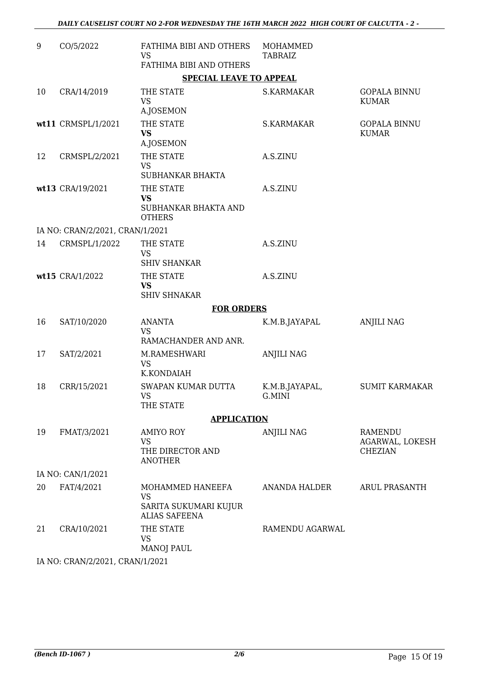| 9  | CO/5/2022                       | FATHIMA BIBI AND OTHERS<br><b>VS</b><br>FATHIMA BIBI AND OTHERS                | MOHAMMED<br><b>TABRAIZ</b> |                                                     |
|----|---------------------------------|--------------------------------------------------------------------------------|----------------------------|-----------------------------------------------------|
|    |                                 | <b>SPECIAL LEAVE TO APPEAL</b>                                                 |                            |                                                     |
| 10 | CRA/14/2019                     | THE STATE<br><b>VS</b><br>A.JOSEMON                                            | S.KARMAKAR                 | <b>GOPALA BINNU</b><br><b>KUMAR</b>                 |
|    | wt11 CRMSPL/1/2021              | THE STATE<br><b>VS</b><br>A.JOSEMON                                            | S.KARMAKAR                 | <b>GOPALA BINNU</b><br><b>KUMAR</b>                 |
| 12 | CRMSPL/2/2021                   | THE STATE<br><b>VS</b><br>SUBHANKAR BHAKTA                                     | A.S.ZINU                   |                                                     |
|    | wt13 CRA/19/2021                | THE STATE<br><b>VS</b><br>SUBHANKAR BHAKTA AND<br><b>OTHERS</b>                | A.S.ZINU                   |                                                     |
|    | IA NO: CRAN/2/2021, CRAN/1/2021 |                                                                                |                            |                                                     |
| 14 | CRMSPL/1/2022                   | THE STATE<br><b>VS</b><br><b>SHIV SHANKAR</b>                                  | A.S.ZINU                   |                                                     |
|    | wt15 CRA/1/2022                 | THE STATE<br><b>VS</b><br><b>SHIV SHNAKAR</b>                                  | A.S.ZINU                   |                                                     |
|    |                                 | <b>FOR ORDERS</b>                                                              |                            |                                                     |
| 16 | SAT/10/2020                     | <b>ANANTA</b><br><b>VS</b><br>RAMACHANDER AND ANR.                             | K.M.B.JAYAPAL              | <b>ANJILI NAG</b>                                   |
| 17 | SAT/2/2021                      | M.RAMESHWARI<br><b>VS</b><br>K.KONDAIAH                                        | <b>ANJILI NAG</b>          |                                                     |
| 18 | CRR/15/2021                     | SWAPAN KUMAR DUTTA<br>VS<br>THE STATE                                          | K.M.B.JAYAPAL,<br>G.MINI   | <b>SUMIT KARMAKAR</b>                               |
|    |                                 | <b>APPLICATION</b>                                                             |                            |                                                     |
| 19 | FMAT/3/2021                     | <b>AMIYO ROY</b><br><b>VS</b><br>THE DIRECTOR AND<br><b>ANOTHER</b>            | <b>ANJILI NAG</b>          | <b>RAMENDU</b><br>AGARWAL, LOKESH<br><b>CHEZIAN</b> |
|    | IA NO: CAN/1/2021               |                                                                                |                            |                                                     |
| 20 | FAT/4/2021                      | MOHAMMED HANEEFA<br><b>VS</b><br>SARITA SUKUMARI KUJUR<br><b>ALIAS SAFEENA</b> | ANANDA HALDER              | ARUL PRASANTH                                       |
| 21 | CRA/10/2021                     | THE STATE<br><b>VS</b><br><b>MANOJ PAUL</b>                                    | RAMENDU AGARWAL            |                                                     |
|    | IA NO: CRAN/2/2021. CRAN/1/2021 |                                                                                |                            |                                                     |

IA NO: CRAN/2/2021, CRAN/1/2021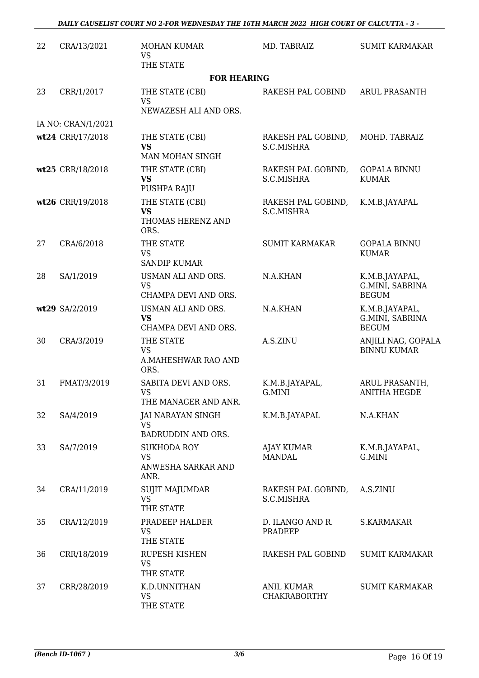| 22 | CRA/13/2021        | <b>MOHAN KUMAR</b><br><b>VS</b><br>THE STATE                  | MD. TABRAIZ                              | <b>SUMIT KARMAKAR</b>                             |
|----|--------------------|---------------------------------------------------------------|------------------------------------------|---------------------------------------------------|
|    |                    | <b>FOR HEARING</b>                                            |                                          |                                                   |
| 23 | CRR/1/2017         | THE STATE (CBI)<br><b>VS</b><br>NEWAZESH ALI AND ORS.         | RAKESH PAL GOBIND                        | <b>ARUL PRASANTH</b>                              |
|    | IA NO: CRAN/1/2021 |                                                               |                                          |                                                   |
|    | wt24 CRR/17/2018   | THE STATE (CBI)<br><b>VS</b><br>MAN MOHAN SINGH               | RAKESH PAL GOBIND,<br>S.C.MISHRA         | MOHD. TABRAIZ                                     |
|    | wt25 CRR/18/2018   | THE STATE (CBI)<br><b>VS</b><br>PUSHPA RAJU                   | RAKESH PAL GOBIND,<br>S.C.MISHRA         | <b>GOPALA BINNU</b><br><b>KUMAR</b>               |
|    | wt26 CRR/19/2018   | THE STATE (CBI)<br><b>VS</b><br>THOMAS HERENZ AND<br>ORS.     | RAKESH PAL GOBIND,<br>S.C.MISHRA         | K.M.B.JAYAPAL                                     |
| 27 | CRA/6/2018         | THE STATE<br><b>VS</b><br><b>SANDIP KUMAR</b>                 | <b>SUMIT KARMAKAR</b>                    | <b>GOPALA BINNU</b><br><b>KUMAR</b>               |
| 28 | SA/1/2019          | USMAN ALI AND ORS.<br><b>VS</b><br>CHAMPA DEVI AND ORS.       | N.A.KHAN                                 | K.M.B.JAYAPAL,<br>G.MINI, SABRINA<br><b>BEGUM</b> |
|    | wt29 SA/2/2019     | USMAN ALI AND ORS.<br><b>VS</b><br>CHAMPA DEVI AND ORS.       | N.A.KHAN                                 | K.M.B.JAYAPAL,<br>G.MINI, SABRINA<br><b>BEGUM</b> |
| 30 | CRA/3/2019         | THE STATE<br><b>VS</b><br>A.MAHESHWAR RAO AND<br>ORS.         | A.S.ZINU                                 | ANJILI NAG, GOPALA<br><b>BINNU KUMAR</b>          |
| 31 | FMAT/3/2019        | SABITA DEVI AND ORS.<br><b>VS</b><br>THE MANAGER AND ANR.     | K.M.B.JAYAPAL,<br>G.MINI                 | ARUL PRASANTH,<br><b>ANITHA HEGDE</b>             |
| 32 | SA/4/2019          | <b>JAI NARAYAN SINGH</b><br><b>VS</b><br>BADRUDDIN AND ORS.   | K.M.B.JAYAPAL                            | N.A.KHAN                                          |
| 33 | SA/7/2019          | <b>SUKHODA ROY</b><br><b>VS</b><br>ANWESHA SARKAR AND<br>ANR. | <b>AJAY KUMAR</b><br><b>MANDAL</b>       | K.M.B.JAYAPAL,<br>G.MINI                          |
| 34 | CRA/11/2019        | <b>SUJIT MAJUMDAR</b><br><b>VS</b><br>THE STATE               | RAKESH PAL GOBIND,<br>S.C.MISHRA         | A.S.ZINU                                          |
| 35 | CRA/12/2019        | PRADEEP HALDER<br><b>VS</b><br>THE STATE                      | D. ILANGO AND R.<br>PRADEEP              | S.KARMAKAR                                        |
| 36 | CRR/18/2019        | RUPESH KISHEN<br><b>VS</b><br>THE STATE                       | RAKESH PAL GOBIND                        | <b>SUMIT KARMAKAR</b>                             |
| 37 | CRR/28/2019        | K.D.UNNITHAN<br><b>VS</b><br>THE STATE                        | <b>ANIL KUMAR</b><br><b>CHAKRABORTHY</b> | <b>SUMIT KARMAKAR</b>                             |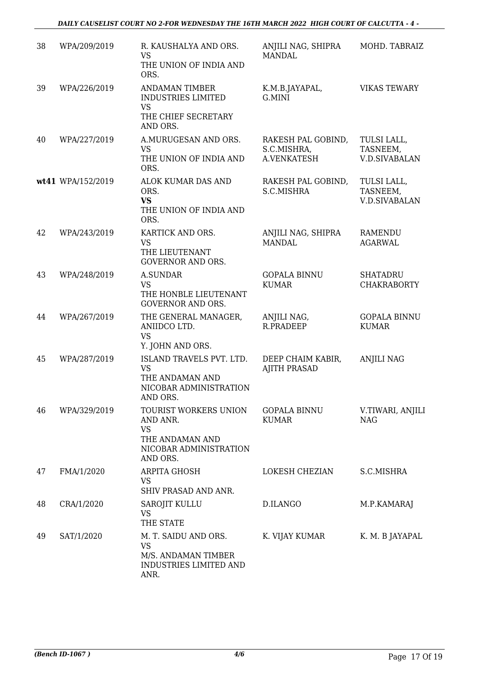| 38 | WPA/209/2019      | R. KAUSHALYA AND ORS.<br><b>VS</b><br>THE UNION OF INDIA AND<br>ORS.                                    | ANJILI NAG, SHIPRA<br><b>MANDAL</b>              | MOHD. TABRAIZ                                   |
|----|-------------------|---------------------------------------------------------------------------------------------------------|--------------------------------------------------|-------------------------------------------------|
| 39 | WPA/226/2019      | <b>ANDAMAN TIMBER</b><br><b>INDUSTRIES LIMITED</b><br><b>VS</b><br>THE CHIEF SECRETARY<br>AND ORS.      | K.M.B.JAYAPAL,<br>G.MINI                         | <b>VIKAS TEWARY</b>                             |
| 40 | WPA/227/2019      | A.MURUGESAN AND ORS.<br><b>VS</b><br>THE UNION OF INDIA AND<br>ORS.                                     | RAKESH PAL GOBIND,<br>S.C.MISHRA,<br>A.VENKATESH | TULSI LALL,<br>TASNEEM,<br><b>V.D.SIVABALAN</b> |
|    | wt41 WPA/152/2019 | ALOK KUMAR DAS AND<br>ORS.<br><b>VS</b><br>THE UNION OF INDIA AND<br>ORS.                               | RAKESH PAL GOBIND,<br>S.C.MISHRA                 | TULSI LALL,<br>TASNEEM,<br><b>V.D.SIVABALAN</b> |
| 42 | WPA/243/2019      | KARTICK AND ORS.<br><b>VS</b><br>THE LIEUTENANT<br><b>GOVERNOR AND ORS.</b>                             | ANJILI NAG, SHIPRA<br><b>MANDAL</b>              | <b>RAMENDU</b><br><b>AGARWAL</b>                |
| 43 | WPA/248/2019      | <b>A.SUNDAR</b><br><b>VS</b><br>THE HONBLE LIEUTENANT<br><b>GOVERNOR AND ORS.</b>                       | <b>GOPALA BINNU</b><br><b>KUMAR</b>              | <b>SHATADRU</b><br><b>CHAKRABORTY</b>           |
| 44 | WPA/267/2019      | THE GENERAL MANAGER,<br>ANIIDCO LTD.<br><b>VS</b><br>Y. JOHN AND ORS.                                   | ANJILI NAG,<br>R.PRADEEP                         | <b>GOPALA BINNU</b><br><b>KUMAR</b>             |
| 45 | WPA/287/2019      | ISLAND TRAVELS PVT. LTD.<br><b>VS</b><br>THE ANDAMAN AND<br>NICOBAR ADMINISTRATION<br>AND ORS.          | DEEP CHAIM KABIR,<br><b>AJITH PRASAD</b>         | <b>ANJILI NAG</b>                               |
| 46 | WPA/329/2019      | TOURIST WORKERS UNION<br>AND ANR.<br><b>VS</b><br>THE ANDAMAN AND<br>NICOBAR ADMINISTRATION<br>AND ORS. | <b>GOPALA BINNU</b><br><b>KUMAR</b>              | V.TIWARI, ANJILI<br><b>NAG</b>                  |
| 47 | FMA/1/2020        | ARPITA GHOSH<br><b>VS</b><br>SHIV PRASAD AND ANR.                                                       | LOKESH CHEZIAN                                   | S.C.MISHRA                                      |
| 48 | CRA/1/2020        | SAROJIT KULLU<br>VS<br>THE STATE                                                                        | D.ILANGO                                         | M.P.KAMARAJ                                     |
| 49 | SAT/1/2020        | M. T. SAIDU AND ORS.<br><b>VS</b><br>M/S. ANDAMAN TIMBER<br>INDUSTRIES LIMITED AND<br>ANR.              | K. VIJAY KUMAR                                   | K. M. B JAYAPAL                                 |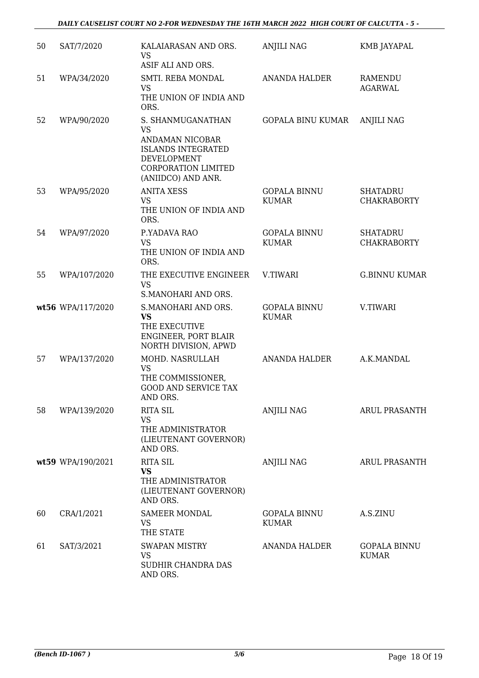| 50 | SAT/7/2020        | KALAIARASAN AND ORS.<br><b>VS</b><br>ASIF ALI AND ORS.                                                                                     | <b>ANJILI NAG</b>                   | KMB JAYAPAL                           |
|----|-------------------|--------------------------------------------------------------------------------------------------------------------------------------------|-------------------------------------|---------------------------------------|
| 51 | WPA/34/2020       | SMTI. REBA MONDAL<br><b>VS</b><br>THE UNION OF INDIA AND<br>ORS.                                                                           | <b>ANANDA HALDER</b>                | <b>RAMENDU</b><br><b>AGARWAL</b>      |
| 52 | WPA/90/2020       | S. SHANMUGANATHAN<br><b>VS</b><br>ANDAMAN NICOBAR<br><b>ISLANDS INTEGRATED</b><br>DEVELOPMENT<br>CORPORATION LIMITED<br>(ANIIDCO) AND ANR. | <b>GOPALA BINU KUMAR</b>            | <b>ANJILI NAG</b>                     |
| 53 | WPA/95/2020       | <b>ANITA XESS</b><br><b>VS</b><br>THE UNION OF INDIA AND<br>ORS.                                                                           | <b>GOPALA BINNU</b><br><b>KUMAR</b> | <b>SHATADRU</b><br><b>CHAKRABORTY</b> |
| 54 | WPA/97/2020       | P.YADAVA RAO<br><b>VS</b><br>THE UNION OF INDIA AND<br>ORS.                                                                                | <b>GOPALA BINNU</b><br><b>KUMAR</b> | <b>SHATADRU</b><br><b>CHAKRABORTY</b> |
| 55 | WPA/107/2020      | THE EXECUTIVE ENGINEER<br><b>VS</b><br>S.MANOHARI AND ORS.                                                                                 | V.TIWARI                            | <b>G.BINNU KUMAR</b>                  |
|    | wt56 WPA/117/2020 | S.MANOHARI AND ORS.<br><b>VS</b><br>THE EXECUTIVE<br>ENGINEER, PORT BLAIR<br>NORTH DIVISION, APWD                                          | <b>GOPALA BINNU</b><br><b>KUMAR</b> | V.TIWARI                              |
| 57 | WPA/137/2020      | MOHD. NASRULLAH<br><b>VS</b><br>THE COMMISSIONER,<br><b>GOOD AND SERVICE TAX</b><br>AND ORS.                                               | ANANDA HALDER                       | A.K.MANDAL                            |
| 58 | WPA/139/2020      | <b>RITA SIL</b><br><b>VS</b><br>THE ADMINISTRATOR<br>(LIEUTENANT GOVERNOR)<br>AND ORS.                                                     | ANJILI NAG                          | <b>ARUL PRASANTH</b>                  |
|    | wt59 WPA/190/2021 | <b>RITA SIL</b><br><b>VS</b><br>THE ADMINISTRATOR<br>(LIEUTENANT GOVERNOR)<br>AND ORS.                                                     | <b>ANJILI NAG</b>                   | <b>ARUL PRASANTH</b>                  |
| 60 | CRA/1/2021        | <b>SAMEER MONDAL</b><br><b>VS</b><br>THE STATE                                                                                             | <b>GOPALA BINNU</b><br><b>KUMAR</b> | A.S.ZINU                              |
| 61 | SAT/3/2021        | <b>SWAPAN MISTRY</b><br><b>VS</b><br>SUDHIR CHANDRA DAS<br>AND ORS.                                                                        | ANANDA HALDER                       | <b>GOPALA BINNU</b><br><b>KUMAR</b>   |